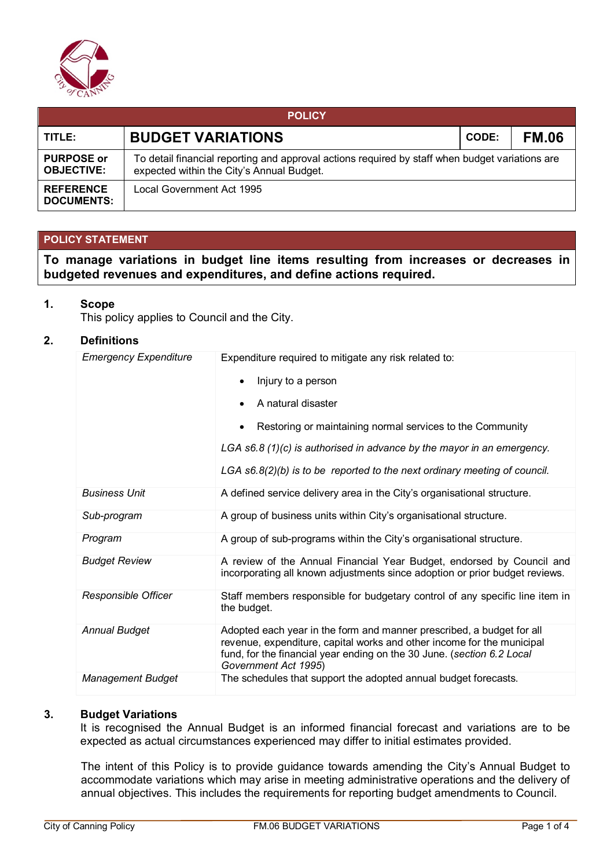

| <b>POLICY</b>                          |                                                                                                                                              |              |              |  |  |  |  |
|----------------------------------------|----------------------------------------------------------------------------------------------------------------------------------------------|--------------|--------------|--|--|--|--|
| TITLE:                                 | <b>BUDGET VARIATIONS</b>                                                                                                                     | <b>CODE:</b> | <b>FM.06</b> |  |  |  |  |
| <b>PURPOSE or</b><br><b>OBJECTIVE:</b> | To detail financial reporting and approval actions required by staff when budget variations are<br>expected within the City's Annual Budget. |              |              |  |  |  |  |
| <b>REFERENCE</b><br><b>DOCUMENTS:</b>  | Local Government Act 1995                                                                                                                    |              |              |  |  |  |  |

## **POLICY STATEMENT**

**To manage variations in budget line items resulting from increases or decreases in budgeted revenues and expenditures, and define actions required.**

### **1. Scope**

This policy applies to Council and the City.

### **2. Definitions**

| <b>Emergency Expenditure</b> | Expenditure required to mitigate any risk related to:                                                                                                                                                                                             |  |  |  |
|------------------------------|---------------------------------------------------------------------------------------------------------------------------------------------------------------------------------------------------------------------------------------------------|--|--|--|
|                              | Injury to a person                                                                                                                                                                                                                                |  |  |  |
|                              | A natural disaster                                                                                                                                                                                                                                |  |  |  |
|                              | Restoring or maintaining normal services to the Community                                                                                                                                                                                         |  |  |  |
|                              | LGA $s6.8(1)(c)$ is authorised in advance by the mayor in an emergency.                                                                                                                                                                           |  |  |  |
|                              | LGA $s6.8(2)(b)$ is to be reported to the next ordinary meeting of council.                                                                                                                                                                       |  |  |  |
| <b>Business Unit</b>         | A defined service delivery area in the City's organisational structure.                                                                                                                                                                           |  |  |  |
| Sub-program                  | A group of business units within City's organisational structure.                                                                                                                                                                                 |  |  |  |
| Program                      | A group of sub-programs within the City's organisational structure.                                                                                                                                                                               |  |  |  |
| <b>Budget Review</b>         | A review of the Annual Financial Year Budget, endorsed by Council and<br>incorporating all known adjustments since adoption or prior budget reviews.                                                                                              |  |  |  |
| Responsible Officer          | Staff members responsible for budgetary control of any specific line item in<br>the budget.                                                                                                                                                       |  |  |  |
| <b>Annual Budget</b>         | Adopted each year in the form and manner prescribed, a budget for all<br>revenue, expenditure, capital works and other income for the municipal<br>fund, for the financial year ending on the 30 June. (section 6.2 Local<br>Government Act 1995) |  |  |  |
| <b>Management Budget</b>     | The schedules that support the adopted annual budget forecasts.                                                                                                                                                                                   |  |  |  |

## **3. Budget Variations**

It is recognised the Annual Budget is an informed financial forecast and variations are to be expected as actual circumstances experienced may differ to initial estimates provided.

The intent of this Policy is to provide guidance towards amending the City's Annual Budget to accommodate variations which may arise in meeting administrative operations and the delivery of annual objectives. This includes the requirements for reporting budget amendments to Council.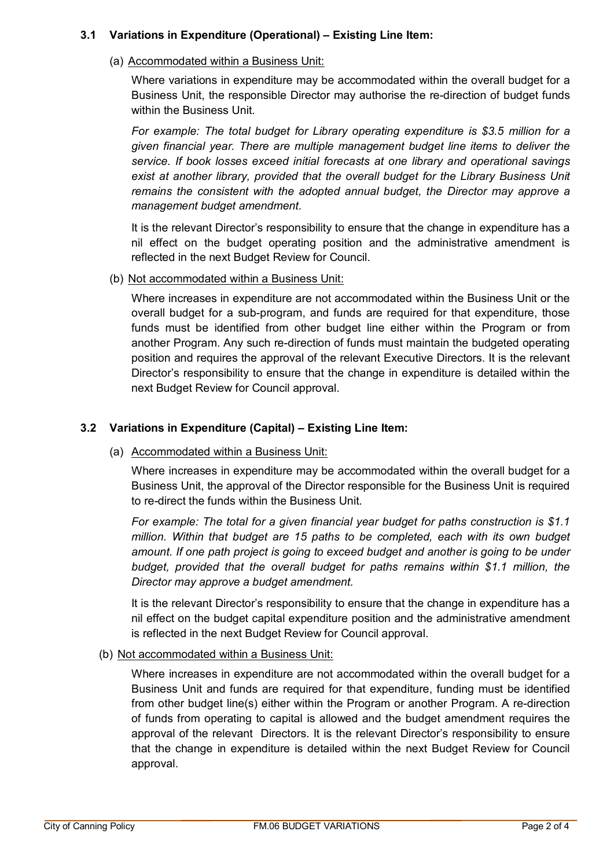# **3.1 Variations in Expenditure (Operational) – Existing Line Item:**

(a) Accommodated within a Business Unit:

Where variations in expenditure may be accommodated within the overall budget for a Business Unit, the responsible Director may authorise the re-direction of budget funds within the Business Unit.

*For example: The total budget for Library operating expenditure is \$3.5 million for a given financial year. There are multiple management budget line items to deliver the service. If book losses exceed initial forecasts at one library and operational savings exist at another library, provided that the overall budget for the Library Business Unit remains the consistent with the adopted annual budget, the Director may approve a management budget amendment.* 

It is the relevant Director's responsibility to ensure that the change in expenditure has a nil effect on the budget operating position and the administrative amendment is reflected in the next Budget Review for Council.

(b) Not accommodated within a Business Unit:

Where increases in expenditure are not accommodated within the Business Unit or the overall budget for a sub-program, and funds are required for that expenditure, those funds must be identified from other budget line either within the Program or from another Program. Any such re-direction of funds must maintain the budgeted operating position and requires the approval of the relevant Executive Directors. It is the relevant Director's responsibility to ensure that the change in expenditure is detailed within the next Budget Review for Council approval.

## **3.2 Variations in Expenditure (Capital) – Existing Line Item:**

(a) Accommodated within a Business Unit:

Where increases in expenditure may be accommodated within the overall budget for a Business Unit, the approval of the Director responsible for the Business Unit is required to re-direct the funds within the Business Unit.

*For example: The total for a given financial year budget for paths construction is \$1.1 million. Within that budget are 15 paths to be completed, each with its own budget amount. If one path project is going to exceed budget and another is going to be under budget, provided that the overall budget for paths remains within \$1.1 million, the Director may approve a budget amendment.*

It is the relevant Director's responsibility to ensure that the change in expenditure has a nil effect on the budget capital expenditure position and the administrative amendment is reflected in the next Budget Review for Council approval.

(b) Not accommodated within a Business Unit:

Where increases in expenditure are not accommodated within the overall budget for a Business Unit and funds are required for that expenditure, funding must be identified from other budget line(s) either within the Program or another Program. A re-direction of funds from operating to capital is allowed and the budget amendment requires the approval of the relevant Directors. It is the relevant Director's responsibility to ensure that the change in expenditure is detailed within the next Budget Review for Council approval.